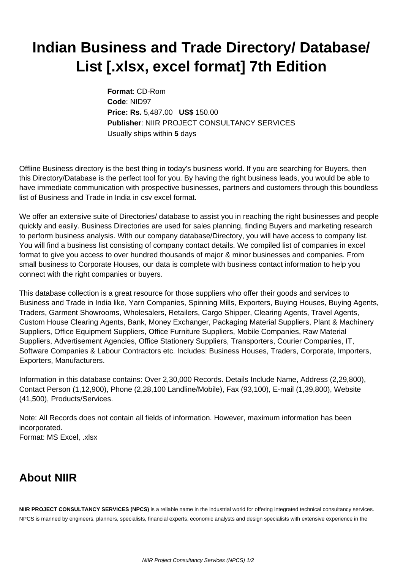## **Indian Business and Trade Directory/ Database/ List [.xlsx, excel format] 7th Edition**

**Format**: CD-Rom **Code**: NID97 **Price: Rs.** 5,487.00 **US\$** 150.00 **Publisher**: NIIR PROJECT CONSULTANCY SERVICES Usually ships within **5** days

Offline Business directory is the best thing in today's business world. If you are searching for Buyers, then this Directory/Database is the perfect tool for you. By having the right business leads, you would be able to have immediate communication with prospective businesses, partners and customers through this boundless list of Business and Trade in India in csv excel format.

We offer an extensive suite of Directories/ database to assist you in reaching the right businesses and people quickly and easily. Business Directories are used for sales planning, finding Buyers and marketing research to perform business analysis. With our company database/Directory, you will have access to company list. You will find a business list consisting of company contact details. We compiled list of companies in excel format to give you access to over hundred thousands of major & minor businesses and companies. From small business to Corporate Houses, our data is complete with business contact information to help you connect with the right companies or buyers.

This database collection is a great resource for those suppliers who offer their goods and services to Business and Trade in India like, Yarn Companies, Spinning Mills, Exporters, Buying Houses, Buying Agents, Traders, Garment Showrooms, Wholesalers, Retailers, Cargo Shipper, Clearing Agents, Travel Agents, Custom House Clearing Agents, Bank, Money Exchanger, Packaging Material Suppliers, Plant & Machinery Suppliers, Office Equipment Suppliers, Office Furniture Suppliers, Mobile Companies, Raw Material Suppliers, Advertisement Agencies, Office Stationery Suppliers, Transporters, Courier Companies, IT, Software Companies & Labour Contractors etc. Includes: Business Houses, Traders, Corporate, Importers, Exporters, Manufacturers.

Information in this database contains: Over 2,30,000 Records. Details Include Name, Address (2,29,800), Contact Person (1,12,900), Phone (2,28,100 Landline/Mobile), Fax (93,100), E-mail (1,39,800), Website (41,500), Products/Services.

Note: All Records does not contain all fields of information. However, maximum information has been incorporated. Format: MS Excel, .xlsx

## **About NIIR**

**NIIR PROJECT CONSULTANCY SERVICES (NPCS)** is a reliable name in the industrial world for offering integrated technical consultancy services. NPCS is manned by engineers, planners, specialists, financial experts, economic analysts and design specialists with extensive experience in the